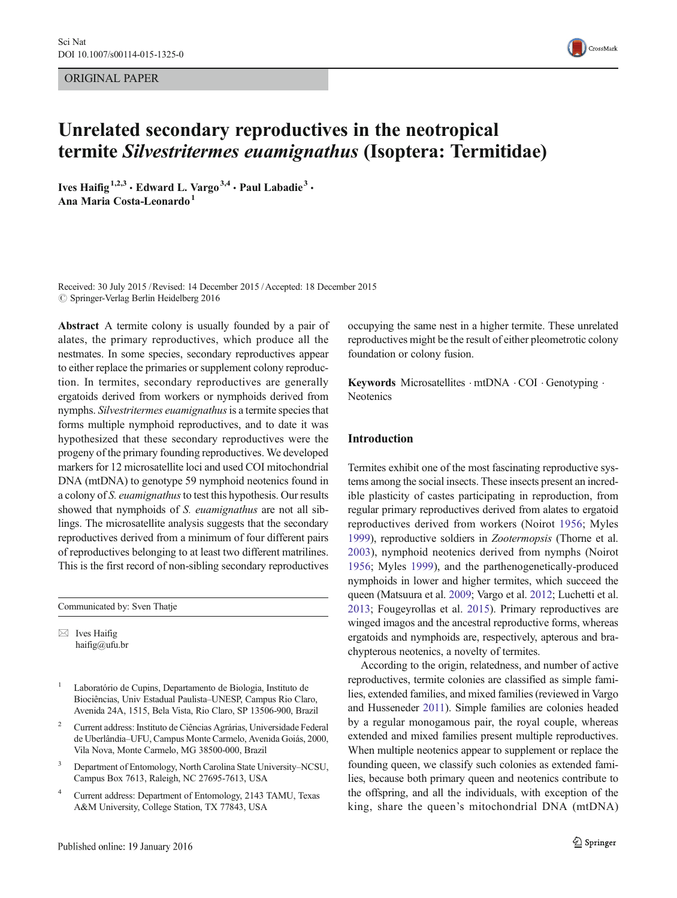ORIGINAL PAPER



# Unrelated secondary reproductives in the neotropical termite Silvestritermes euamignathus (Isoptera: Termitidae)

Ives Haifig<sup>1,2,3</sup>  $\cdot$  Edward L. Vargo<sup>3,4</sup>  $\cdot$  Paul Labadie<sup>3</sup>  $\cdot$ Ana Maria Costa-Leonardo<sup>1</sup>

Received: 30 July 2015 /Revised: 14 December 2015 /Accepted: 18 December 2015  $\oslash$  Springer-Verlag Berlin Heidelberg 2016

Abstract A termite colony is usually founded by a pair of alates, the primary reproductives, which produce all the nestmates. In some species, secondary reproductives appear to either replace the primaries or supplement colony reproduction. In termites, secondary reproductives are generally ergatoids derived from workers or nymphoids derived from nymphs. Silvestritermes euamignathus is a termite species that forms multiple nymphoid reproductives, and to date it was hypothesized that these secondary reproductives were the progeny of the primary founding reproductives. We developed markers for 12 microsatellite loci and used COI mitochondrial DNA (mtDNA) to genotype 59 nymphoid neotenics found in a colony of S. euamignathus to test this hypothesis. Our results showed that nymphoids of S. euamignathus are not all siblings. The microsatellite analysis suggests that the secondary reproductives derived from a minimum of four different pairs of reproductives belonging to at least two different matrilines. This is the first record of non-sibling secondary reproductives

Communicated by: Sven Thatje

 $\boxtimes$  Ives Haifig haifig@ufu.br

- <sup>1</sup> Laboratório de Cupins, Departamento de Biologia, Instituto de Biociências, Univ Estadual Paulista–UNESP, Campus Rio Claro, Avenida 24A, 1515, Bela Vista, Rio Claro, SP 13506-900, Brazil
- <sup>2</sup> Current address: Instituto de Ciências Agrárias, Universidade Federal de Uberlândia–UFU, Campus Monte Carmelo, Avenida Goiás, 2000, Vila Nova, Monte Carmelo, MG 38500-000, Brazil
- <sup>3</sup> Department of Entomology, North Carolina State University–NCSU, Campus Box 7613, Raleigh, NC 27695-7613, USA
- <sup>4</sup> Current address: Department of Entomology, 2143 TAMU, Texas A&M University, College Station, TX 77843, USA

occupying the same nest in a higher termite. These unrelated reproductives might be the result of either pleometrotic colony foundation or colony fusion.

Keywords Microsatellites · mtDNA · COI · Genotyping · **Neotenics** 

# Introduction

Termites exhibit one of the most fascinating reproductive systems among the social insects. These insects present an incredible plasticity of castes participating in reproduction, from regular primary reproductives derived from alates to ergatoid reproductives derived from workers (Noirot [1956;](#page-7-0) Myles [1999\)](#page-7-0), reproductive soldiers in Zootermopsis (Thorne et al. [2003](#page-7-0)), nymphoid neotenics derived from nymphs (Noirot [1956](#page-7-0); Myles [1999\)](#page-7-0), and the parthenogenetically-produced nymphoids in lower and higher termites, which succeed the queen (Matsuura et al. [2009;](#page-7-0) Vargo et al. [2012;](#page-7-0) Luchetti et al. [2013;](#page-7-0) Fougeyrollas et al. [2015\)](#page-7-0). Primary reproductives are winged imagos and the ancestral reproductive forms, whereas ergatoids and nymphoids are, respectively, apterous and brachypterous neotenics, a novelty of termites.

According to the origin, relatedness, and number of active reproductives, termite colonies are classified as simple families, extended families, and mixed families (reviewed in Vargo and Husseneder [2011\)](#page-7-0). Simple families are colonies headed by a regular monogamous pair, the royal couple, whereas extended and mixed families present multiple reproductives. When multiple neotenics appear to supplement or replace the founding queen, we classify such colonies as extended families, because both primary queen and neotenics contribute to the offspring, and all the individuals, with exception of the king, share the queen's mitochondrial DNA (mtDNA)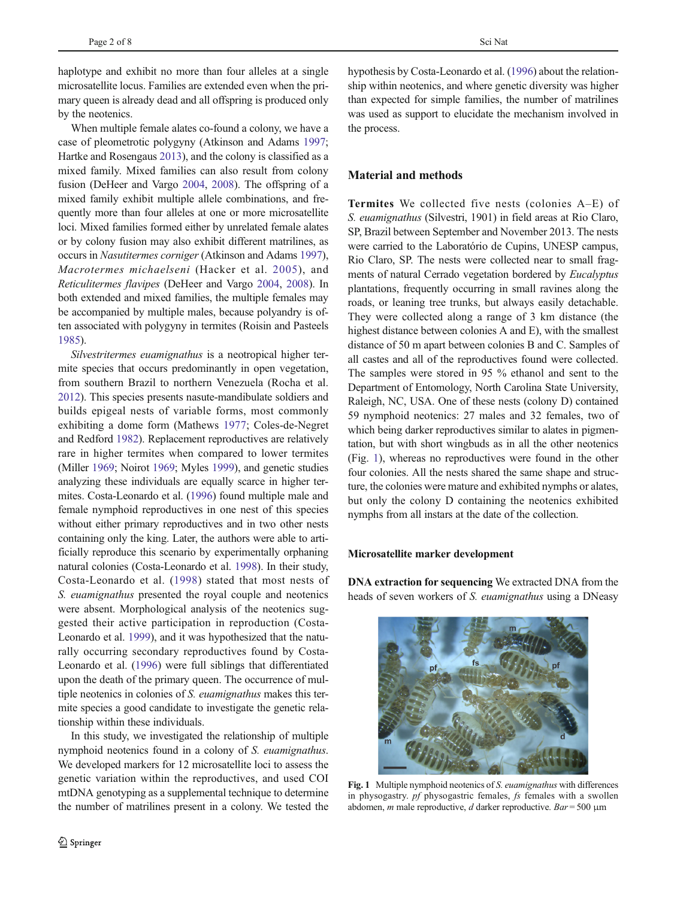<span id="page-1-0"></span>haplotype and exhibit no more than four alleles at a single microsatellite locus. Families are extended even when the primary queen is already dead and all offspring is produced only by the neotenics.

When multiple female alates co-found a colony, we have a case of pleometrotic polygyny (Atkinson and Adams [1997](#page-6-0); Hartke and Rosengaus [2013](#page-7-0)), and the colony is classified as a mixed family. Mixed families can also result from colony fusion (DeHeer and Vargo [2004](#page-6-0), [2008\)](#page-7-0). The offspring of a mixed family exhibit multiple allele combinations, and frequently more than four alleles at one or more microsatellite loci. Mixed families formed either by unrelated female alates or by colony fusion may also exhibit different matrilines, as occurs in Nasutitermes corniger (Atkinson and Adams [1997\)](#page-6-0), Macrotermes michaelseni (Hacker et al. [2005](#page-7-0)), and Reticulitermes flavipes (DeHeer and Vargo [2004,](#page-6-0) [2008\)](#page-7-0). In both extended and mixed families, the multiple females may be accompanied by multiple males, because polyandry is often associated with polygyny in termites (Roisin and Pasteels [1985\)](#page-7-0).

Silvestritermes euamignathus is a neotropical higher termite species that occurs predominantly in open vegetation, from southern Brazil to northern Venezuela (Rocha et al. [2012\)](#page-7-0). This species presents nasute-mandibulate soldiers and builds epigeal nests of variable forms, most commonly exhibiting a dome form (Mathews [1977;](#page-7-0) Coles-de-Negret and Redford [1982\)](#page-6-0). Replacement reproductives are relatively rare in higher termites when compared to lower termites (Miller [1969;](#page-7-0) Noirot [1969;](#page-7-0) Myles [1999](#page-7-0)), and genetic studies analyzing these individuals are equally scarce in higher termites. Costa-Leonardo et al. [\(1996\)](#page-6-0) found multiple male and female nymphoid reproductives in one nest of this species without either primary reproductives and in two other nests containing only the king. Later, the authors were able to artificially reproduce this scenario by experimentally orphaning natural colonies (Costa-Leonardo et al. [1998](#page-6-0)). In their study, Costa-Leonardo et al. ([1998](#page-6-0)) stated that most nests of S. euamignathus presented the royal couple and neotenics were absent. Morphological analysis of the neotenics suggested their active participation in reproduction (Costa-Leonardo et al. [1999](#page-6-0)), and it was hypothesized that the naturally occurring secondary reproductives found by Costa-Leonardo et al. [\(1996\)](#page-6-0) were full siblings that differentiated upon the death of the primary queen. The occurrence of multiple neotenics in colonies of S. euamignathus makes this termite species a good candidate to investigate the genetic relationship within these individuals.

In this study, we investigated the relationship of multiple nymphoid neotenics found in a colony of S. euamignathus. We developed markers for 12 microsatellite loci to assess the genetic variation within the reproductives, and used COI mtDNA genotyping as a supplemental technique to determine the number of matrilines present in a colony. We tested the hypothesis by Costa-Leonardo et al. [\(1996](#page-6-0)) about the relationship within neotenics, and where genetic diversity was higher than expected for simple families, the number of matrilines was used as support to elucidate the mechanism involved in the process.

## Material and methods

Termites We collected five nests (colonies A–E) of S. euamignathus (Silvestri, 1901) in field areas at Rio Claro, SP, Brazil between September and November 2013. The nests were carried to the Laboratório de Cupins, UNESP campus, Rio Claro, SP. The nests were collected near to small fragments of natural Cerrado vegetation bordered by Eucalyptus plantations, frequently occurring in small ravines along the roads, or leaning tree trunks, but always easily detachable. They were collected along a range of 3 km distance (the highest distance between colonies A and E), with the smallest distance of 50 m apart between colonies B and C. Samples of all castes and all of the reproductives found were collected. The samples were stored in 95 % ethanol and sent to the Department of Entomology, North Carolina State University, Raleigh, NC, USA. One of these nests (colony D) contained 59 nymphoid neotenics: 27 males and 32 females, two of which being darker reproductives similar to alates in pigmentation, but with short wingbuds as in all the other neotenics (Fig. 1), whereas no reproductives were found in the other four colonies. All the nests shared the same shape and structure, the colonies were mature and exhibited nymphs or alates, but only the colony D containing the neotenics exhibited nymphs from all instars at the date of the collection.

#### Microsatellite marker development

DNA extraction for sequencing We extracted DNA from the heads of seven workers of S. euamignathus using a DNeasy



Fig. 1 Multiple nymphoid neotenics of S. euamignathus with differences in physogastry. pf physogastric females, fs females with a swollen abdomen, *m* male reproductive, *d* darker reproductive.  $Bar = 500 \mu m$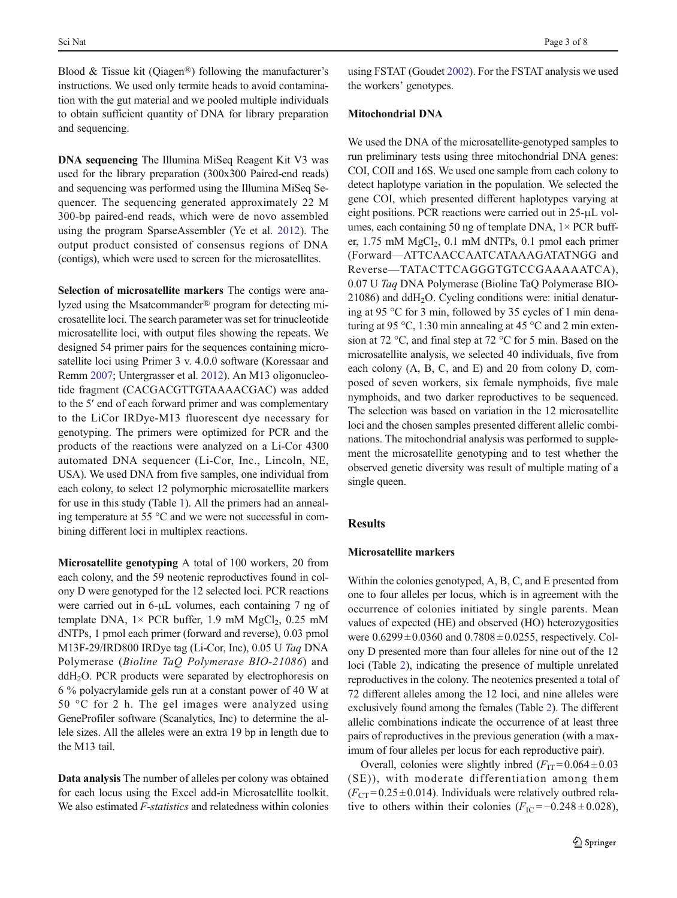Blood & Tissue kit (Qiagen®) following the manufacturer's instructions. We used only termite heads to avoid contamination with the gut material and we pooled multiple individuals to obtain sufficient quantity of DNA for library preparation and sequencing.

DNA sequencing The Illumina MiSeq Reagent Kit V3 was used for the library preparation (300x300 Paired-end reads) and sequencing was performed using the Illumina MiSeq Sequencer. The sequencing generated approximately 22 M 300-bp paired-end reads, which were de novo assembled using the program SparseAssembler (Ye et al. [2012](#page-7-0)). The output product consisted of consensus regions of DNA (contigs), which were used to screen for the microsatellites.

Selection of microsatellite markers The contigs were analyzed using the Msatcommander® program for detecting microsatellite loci. The search parameter was set for trinucleotide microsatellite loci, with output files showing the repeats. We designed 54 primer pairs for the sequences containing microsatellite loci using Primer 3 v. 4.0.0 software (Koressaar and Remm [2007](#page-7-0); Untergrasser et al. [2012\)](#page-7-0). An M13 oligonucleotide fragment (CACGACGTTGTAAAACGAC) was added to the 5′ end of each forward primer and was complementary to the LiCor IRDye-M13 fluorescent dye necessary for genotyping. The primers were optimized for PCR and the products of the reactions were analyzed on a Li-Cor 4300 automated DNA sequencer (Li-Cor, Inc., Lincoln, NE, USA). We used DNA from five samples, one individual from each colony, to select 12 polymorphic microsatellite markers for use in this study (Table [1\)](#page-3-0). All the primers had an annealing temperature at 55 °C and we were not successful in combining different loci in multiplex reactions.

Microsatellite genotyping A total of 100 workers, 20 from each colony, and the 59 neotenic reproductives found in colony D were genotyped for the 12 selected loci. PCR reactions were carried out in 6-μL volumes, each containing 7 ng of template DNA,  $1 \times$  PCR buffer, 1.9 mM MgCl<sub>2</sub>, 0.25 mM dNTPs, 1 pmol each primer (forward and reverse), 0.03 pmol M13F-29/IRD800 IRDye tag (Li-Cor, Inc), 0.05 U Taq DNA Polymerase (Bioline TaQ Polymerase BIO-21086) and  $ddH<sub>2</sub>O$ . PCR products were separated by electrophoresis on 6 % polyacrylamide gels run at a constant power of 40 W at 50 °C for 2 h. The gel images were analyzed using GeneProfiler software (Scanalytics, Inc) to determine the allele sizes. All the alleles were an extra 19 bp in length due to the M13 tail.

Data analysis The number of alleles per colony was obtained for each locus using the Excel add-in Microsatellite toolkit. We also estimated F-statistics and relatedness within colonies using FSTAT (Goudet [2002\)](#page-7-0). For the FSTAT analysis we used the workers' genotypes.

### Mitochondrial DNA

We used the DNA of the microsatellite-genotyped samples to run preliminary tests using three mitochondrial DNA genes: COI, COII and 16S. We used one sample from each colony to detect haplotype variation in the population. We selected the gene COI, which presented different haplotypes varying at eight positions. PCR reactions were carried out in 25-μL volumes, each containing 50 ng of template DNA,  $1 \times PCR$  buffer,  $1.75 \text{ mM } MgCl<sub>2</sub>$ ,  $0.1 \text{ mM } dNTPs$ ,  $0.1 \text{ pmol } each \text{ primer}$ (Forward—ATTCAACCAATCATAAAGATATNGG and Reverse—TATACTTCAGGGTGTCCGAAAAATCA), 0.07 U Taq DNA Polymerase (Bioline TaQ Polymerase BIO- $21086$ ) and ddH<sub>2</sub>O. Cycling conditions were: initial denaturing at 95 °C for 3 min, followed by 35 cycles of 1 min denaturing at 95 °C, 1:30 min annealing at 45 °C and 2 min extension at 72 °C, and final step at 72 °C for 5 min. Based on the microsatellite analysis, we selected 40 individuals, five from each colony (A, B, C, and E) and 20 from colony D, composed of seven workers, six female nymphoids, five male nymphoids, and two darker reproductives to be sequenced. The selection was based on variation in the 12 microsatellite loci and the chosen samples presented different allelic combinations. The mitochondrial analysis was performed to supplement the microsatellite genotyping and to test whether the observed genetic diversity was result of multiple mating of a single queen.

## **Results**

## Microsatellite markers

Within the colonies genotyped, A, B, C, and E presented from one to four alleles per locus, which is in agreement with the occurrence of colonies initiated by single parents. Mean values of expected (HE) and observed (HO) heterozygosities were  $0.6299 \pm 0.0360$  and  $0.7808 \pm 0.0255$ , respectively. Colony D presented more than four alleles for nine out of the 12 loci (Table [2](#page-3-0)), indicating the presence of multiple unrelated reproductives in the colony. The neotenics presented a total of 72 different alleles among the 12 loci, and nine alleles were exclusively found among the females (Table [2\)](#page-3-0). The different allelic combinations indicate the occurrence of at least three pairs of reproductives in the previous generation (with a maximum of four alleles per locus for each reproductive pair).

Overall, colonies were slightly inbred  $(F_{IT} = 0.064 \pm 0.03$ (SE)), with moderate differentiation among them  $(F_{CT} = 0.25 \pm 0.014)$ . Individuals were relatively outbred relative to others within their colonies  $(F_{\text{IC}} = -0.248 \pm 0.028)$ ,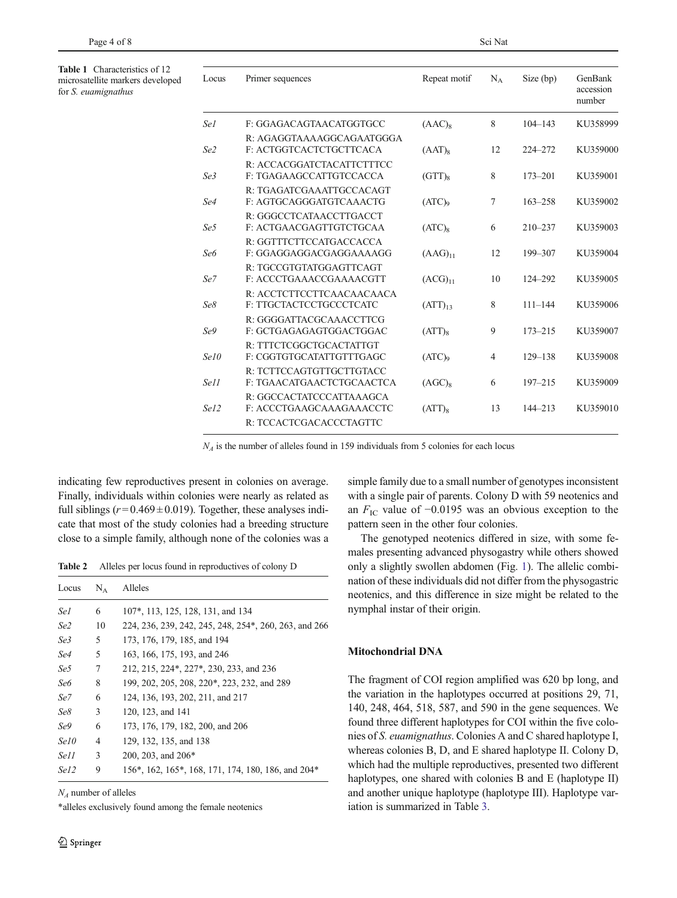<span id="page-3-0"></span>Table 1 Characteristics of 12 microsatellite markers developed for S. euamignathus

| Locus           | Primer sequences                                      | Repeat motif       | $N_A$          | Size (bp)   | GenBank<br>accession<br>number |
|-----------------|-------------------------------------------------------|--------------------|----------------|-------------|--------------------------------|
| Se l            | F: GGAGACAGTAACATGGTGCC                               | $(AAC)_{8}$        | 8              | $104 - 143$ | KU358999                       |
| Se2             | R: AGAGGTAAAAGGCAGAATGGGA<br>F: ACTGGTCACTCTGCTTCACA  | $(AAT)_8$          | 12             | 224-272     | KU359000                       |
| Se3             | R: ACCACGGATCTACATTCTTTCC<br>F: TGAGAAGCCATTGTCCACCA  | $(GTT)_{8}$        | 8              | $173 - 201$ | KU359001                       |
| Se4             | R: TGAGATCGAAATTGCCACAGT<br>F: AGTGCAGGGATGTCAAACTG   | (ATC) <sub>9</sub> | 7              | $163 - 258$ | KU359002                       |
| Se <sub>5</sub> | R: GGGCCTCATAACCTTGACCT<br>F: ACTGAACGAGTTGTCTGCAA    | $(ATC)_{8}$        | 6              | $210 - 237$ | KU359003                       |
| Se6             | R: GGTTTCTTCCATGACCACCA<br>F: GGAGGAGGACGAGGAAAAGG    | $(AAG)_{11}$       | 12             | 199-307     | KU359004                       |
| Se7             | R: TGCCGTGTATGGAGTTCAGT<br>F: ACCCTGAAACCGAAAACGTT    | $(ACG)_{11}$       | 10             | 124-292     | KU359005                       |
| Se8             | R: ACCTCTTCCTTCAACAACAACA<br>F: TTGCTACTCCTGCCCTCATC  | $(ATT)_{13}$       | 8              | $111 - 144$ | KU359006                       |
| Se9             | R: GGGGATTACGCAAACCTTCG<br>F: GCTGAGAGAGTGGACTGGAC    | $(ATT)_{8}$        | 9              | $173 - 215$ | KU359007                       |
| Se10            | R: TTTCTCGGCTGCACTATTGT<br>F: CGGTGTGCATATTGTTTGAGC   | (ATC) <sub>9</sub> | $\overline{4}$ | $129 - 138$ | KU359008                       |
| Se11            | R: TCTTCCAGTGTTGCTTGTACC<br>F: TGAACATGAACTCTGCAACTCA | (AGC) <sub>8</sub> | 6              | $197 - 215$ | KU359009                       |
| Se12            | R: GGCCACTATCCCATTAAAGCA<br>F: ACCCTGAAGCAAAGAAACCTC  | $(ATT)_{8}$        | 13             | $144 - 213$ | KU359010                       |
|                 | R: TCCACTCGACACCCTAGTTC                               |                    |                |             |                                |

 $N_A$  is the number of alleles found in 159 individuals from 5 colonies for each locus

indicating few reproductives present in colonies on average. Finally, individuals within colonies were nearly as related as full siblings ( $r = 0.469 \pm 0.019$ ). Together, these analyses indicate that most of the study colonies had a breeding structure close to a simple family, although none of the colonies was a

Table 2 Alleles per locus found in reproductives of colony D

| Locus           | $\rm N_{\Delta}$ | Alleles                                               |
|-----------------|------------------|-------------------------------------------------------|
| Se1             | 6                | 107*, 113, 125, 128, 131, and 134                     |
| Se <sub>2</sub> | 10               | 224, 236, 239, 242, 245, 248, 254*, 260, 263, and 266 |
| Se3             | 5                | 173, 176, 179, 185, and 194                           |
| Se4             | 5                | 163, 166, 175, 193, and 246                           |
| Se5             | 7                | 212, 215, 224*, 227*, 230, 233, and 236               |
| Sеб             | 8                | 199, 202, 205, 208, 220*, 223, 232, and 289           |
| Se7             | 6                | 124, 136, 193, 202, 211, and 217                      |
| Se8             | 3                | 120, 123, and 141                                     |
| Se9             | 6                | 173, 176, 179, 182, 200, and 206                      |
| Se10            | 4                | 129, 132, 135, and 138                                |
| Se11            | 3                | 200, 203, and 206 <sup>*</sup>                        |
| Se12            | 9                | 156*, 162, 165*, 168, 171, 174, 180, 186, and 204*    |

 $N_A$  number of alleles

\*alleles exclusively found among the female neotenics

simple family due to a small number of genotypes inconsistent with a single pair of parents. Colony D with 59 neotenics and an  $F_{\text{IC}}$  value of −0.0195 was an obvious exception to the pattern seen in the other four colonies.

The genotyped neotenics differed in size, with some females presenting advanced physogastry while others showed only a slightly swollen abdomen (Fig. [1\)](#page-1-0). The allelic combination of these individuals did not differ from the physogastric neotenics, and this difference in size might be related to the nymphal instar of their origin.

## Mitochondrial DNA

The fragment of COI region amplified was 620 bp long, and the variation in the haplotypes occurred at positions 29, 71, 140, 248, 464, 518, 587, and 590 in the gene sequences. We found three different haplotypes for COI within the five colonies of S. euamignathus. Colonies A and C shared haplotype I, whereas colonies B, D, and E shared haplotype II. Colony D, which had the multiple reproductives, presented two different haplotypes, one shared with colonies B and E (haplotype II) and another unique haplotype (haplotype III). Haplotype variation is summarized in Table [3.](#page-4-0)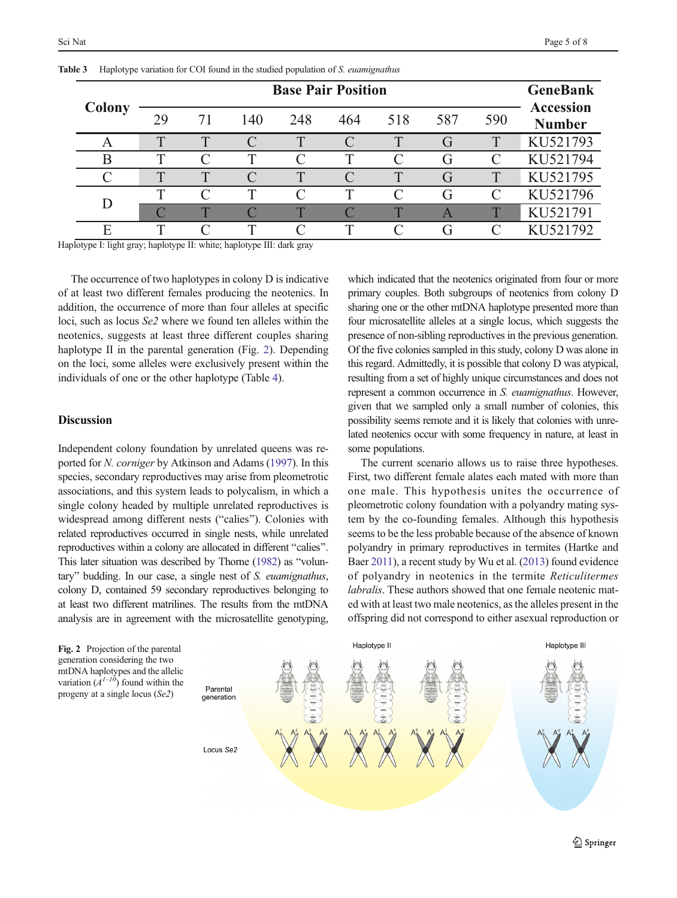| Colony |              | <b>GeneBank</b> |                    |              |     |     |                |              |                                   |
|--------|--------------|-----------------|--------------------|--------------|-----|-----|----------------|--------------|-----------------------------------|
|        | 29           | 71              | 140                | 248          | 464 | 518 | 587            | 590          | <b>Accession</b><br><b>Number</b> |
| A      | $\mathbf{r}$ | $\mathbf{T}$    |                    | $\mathsf{T}$ |     | T   | G              | T            | KU521793                          |
| B      |              |                 | T                  | $\subset$    | ᡣ   |     | G              |              | KU521794                          |
|        | T            | $\mathbf{T}$    | $\curvearrowright$ | $\mathsf T$  |     | T   | G              | $\mathsf T$  | KU521795                          |
|        | ௱            |                 | T                  | $\subset$    | т   |     | G              |              | KU521796                          |
| D      |              | $\blacksquare$  |                    | $\mathbf{T}$ |     | Ŧ   | $\overline{A}$ | $\mathbf{T}$ | KU521791                          |
| F      |              |                 | T                  |              |     |     | ſì             |              | KU521792                          |

<span id="page-4-0"></span>

|  |  |  |  |  |  |  |  |  |  |  | Table 3 Haplotype variation for COI found in the studied population of S. euamignathus |
|--|--|--|--|--|--|--|--|--|--|--|----------------------------------------------------------------------------------------|
|--|--|--|--|--|--|--|--|--|--|--|----------------------------------------------------------------------------------------|

Haplotype I: light gray; haplotype II: white; haplotype III: dark gray

The occurrence of two haplotypes in colony D is indicative of at least two different females producing the neotenics. In addition, the occurrence of more than four alleles at specific loci, such as locus Se2 where we found ten alleles within the neotenics, suggests at least three different couples sharing haplotype II in the parental generation (Fig. 2). Depending on the loci, some alleles were exclusively present within the individuals of one or the other haplotype (Table [4\)](#page-5-0).

## **Discussion**

Independent colony foundation by unrelated queens was reported for N. corniger by Atkinson and Adams [\(1997](#page-6-0)). In this species, secondary reproductives may arise from pleometrotic associations, and this system leads to polycalism, in which a single colony headed by multiple unrelated reproductives is widespread among different nests ("calies"). Colonies with related reproductives occurred in single nests, while unrelated reproductives within a colony are allocated in different "calies". This later situation was described by Thorne [\(1982\)](#page-7-0) as "voluntary" budding. In our case, a single nest of S. euamignathus, colony D, contained 59 secondary reproductives belonging to at least two different matrilines. The results from the mtDNA analysis are in agreement with the microsatellite genotyping,

which indicated that the neotenics originated from four or more primary couples. Both subgroups of neotenics from colony D sharing one or the other mtDNA haplotype presented more than four microsatellite alleles at a single locus, which suggests the presence of non-sibling reproductives in the previous generation. Of the five colonies sampled in this study, colony D was alone in this regard. Admittedly, it is possible that colony D was atypical, resulting from a set of highly unique circumstances and does not represent a common occurrence in S. euamignathus. However, given that we sampled only a small number of colonies, this possibility seems remote and it is likely that colonies with unrelated neotenics occur with some frequency in nature, at least in some populations.

The current scenario allows us to raise three hypotheses. First, two different female alates each mated with more than one male. This hypothesis unites the occurrence of pleometrotic colony foundation with a polyandry mating system by the co-founding females. Although this hypothesis seems to be the less probable because of the absence of known polyandry in primary reproductives in termites (Hartke and Baer [2011\)](#page-7-0), a recent study by Wu et al. [\(2013\)](#page-7-0) found evidence of polyandry in neotenics in the termite Reticulitermes labralis. These authors showed that one female neotenic mated with at least two male neotenics, as the alleles present in the offspring did not correspond to either asexual reproduction or

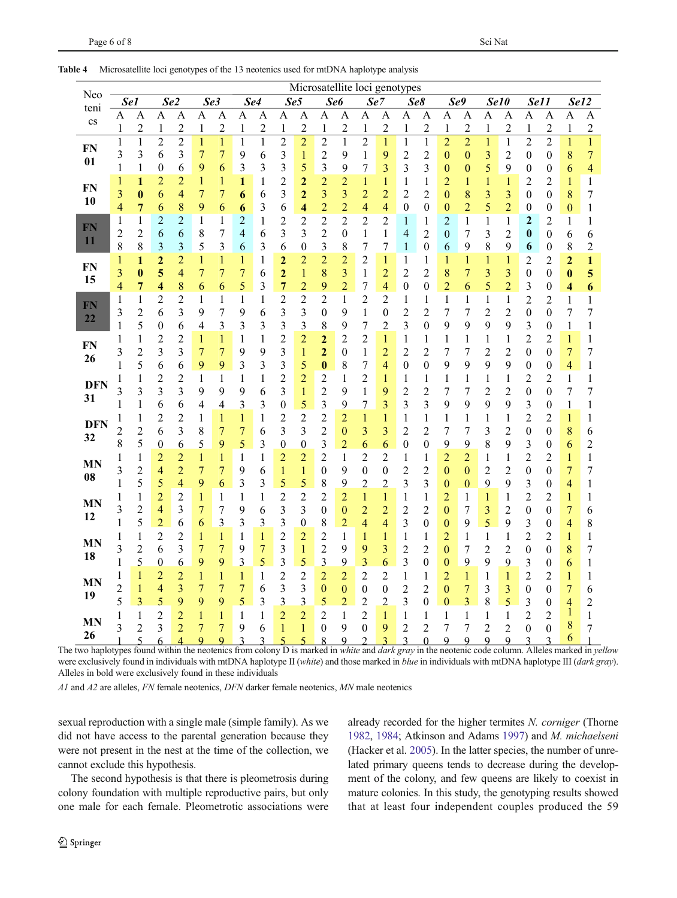|                 | Microsatellite loci genotypes |                     |                          |                          |                                |                         |                          |                         |                       |                         |                                  |                                |                                |                                |                     |                                |                                    |                   |                                |                  |                                    |                                    |                          |                   |
|-----------------|-------------------------------|---------------------|--------------------------|--------------------------|--------------------------------|-------------------------|--------------------------|-------------------------|-----------------------|-------------------------|----------------------------------|--------------------------------|--------------------------------|--------------------------------|---------------------|--------------------------------|------------------------------------|-------------------|--------------------------------|------------------|------------------------------------|------------------------------------|--------------------------|-------------------|
| Neo<br>teni     | Se <sub>1</sub>               |                     | Se2                      |                          |                                | Se3                     | Se4                      |                         | Se5                   |                         |                                  | Se <sub>6</sub>                | Se7                            |                                |                     | Se8                            |                                    | Se9               |                                | Se <sub>10</sub> | Se11                               |                                    | Se12                     |                   |
| $\rm{cs}$       | Α                             | А                   | A                        | $\overline{A}$           | A                              | $\overline{A}$          | A                        | $\overline{A}$          | A                     | A                       | A                                | $\overline{A}$                 | A                              | $\overline{A}$                 | А                   | A                              | A                                  | A                 | A                              | $\overline{A}$   | A                                  | $\overline{A}$                     | A                        | $\overline{A}$    |
|                 | 1                             | $\overline{c}$      | $\mathbf{1}$             | $\overline{c}$           | 1                              | $\overline{c}$          | 1                        | $\overline{c}$          | $\mathbf{1}$          | $\overline{c}$          | $\mathbf{1}$                     | $\overline{2}$                 | $\mathbf{1}$                   | $\overline{c}$                 | 1                   | $\overline{c}$                 | $\mathbf{1}$                       | $\overline{c}$    | $\mathbf{1}$                   | $\overline{c}$   | $\mathbf{1}$                       | $\overline{c}$                     | $\mathbf{1}$             | $\overline{c}$    |
| <b>FN</b>       | $\mathbf{1}$                  | $\mathbf{1}$        | $\overline{c}$           | $\overline{c}$           | $\mathbf{1}$                   | $\mathbf{1}$            | $\mathbf{1}$             | $\mathbf{1}$            | $\overline{c}$        | $\overline{c}$          | $\overline{c}$                   | $\mathbf{1}$                   | $\overline{c}$                 | $\mathbf{1}$                   | $\mathbf{1}$        | $\mathbf{1}$                   | $\overline{2}$                     | $\overline{2}$    | $\mathbf{1}$                   | $\mathbf{1}$     | $\overline{c}$                     | $\overline{c}$                     | $\mathbf{1}$             | $\mathbf{1}$      |
| 01              | 3<br>1                        | 3<br>1              | 6<br>$\boldsymbol{0}$    | 3<br>6                   | $\overline{7}$<br>9            | 7<br>6                  | 9<br>3                   | 6<br>3                  | 3<br>3                | $\mathbf{1}$<br>5       | $\overline{c}$                   | 9<br>9                         | 1                              | 9                              | $\overline{c}$      | $\overline{c}$                 | $\bf{0}$                           | 0                 | 3<br>5                         | 2<br>9           | 0                                  | 0                                  | 8                        | 7                 |
|                 | 1                             | 1                   | $\overline{c}$           | 2                        | 1                              | 1                       | 1                        | 1                       | $\overline{c}$        | $\overline{c}$          | 3<br>$\overline{c}$              | $\overline{2}$                 | 7<br>1                         | 3<br>1                         | 3<br>1              | 3<br>1                         | $\boldsymbol{0}$<br>$\overline{c}$ | 0<br>1            | $\mathbf{1}$                   | 1                | 0<br>$\overline{c}$                | $\boldsymbol{0}$<br>2              | 6<br>$\mathbf{1}$        | 4<br>$\mathbf{1}$ |
| <b>FN</b>       | 3                             | 0                   | 6                        | 4                        | 7                              | 7                       | 6                        | 6                       | 3                     | $\overline{c}$          | 3                                | 3                              | $\overline{c}$                 | $\overline{c}$                 | 2                   | 2                              | $\boldsymbol{0}$                   | 8                 | 3                              | 3                | 0                                  | 0                                  | 8                        | 7                 |
| 10              | 4                             | 7                   | 6                        | 8                        | 9                              | 6                       | 6                        | 3                       | 6                     | 4                       | $\overline{c}$                   | $\overline{c}$                 | 4                              | 4                              | 0                   | 0                              | $\boldsymbol{0}$                   | $\overline{c}$    | 5                              | $\overline{c}$   | $\boldsymbol{0}$                   | 0                                  | $\boldsymbol{0}$         | 1                 |
|                 | $\mathbf{1}$                  | 1                   | $\overline{2}$           | $\overline{c}$           | 1                              | 1                       | $\overline{c}$           | $\mathbf{1}$            | $\overline{c}$        | $\overline{c}$          | $\overline{c}$                   | $\overline{c}$                 | 2                              | 2                              | 1                   | 1                              | $\overline{c}$                     | $\mathbf{1}$      | $\mathbf{1}$                   | $\mathbf{1}$     | $\overline{c}$                     | 2                                  | 1                        | 1                 |
| FN              | $\overline{c}$                | 2                   | 6                        | 6                        | 8                              | 7                       | $\overline{\mathcal{A}}$ | 6                       | 3                     | 3                       | $\overline{c}$                   | $\boldsymbol{0}$               | $\mathbf{1}$                   | 1                              | 4                   | $\overline{c}$                 | $\boldsymbol{0}$                   | 7                 | 3                              | $\overline{c}$   | $\boldsymbol{0}$                   | 0                                  | 6                        | 6                 |
| 11              | 8                             | 8                   | $\mathfrak{Z}$           | 3                        | 5                              | 3                       | 6                        | 3                       | 6                     | $\boldsymbol{0}$        | 3                                | 8                              | 7                              | 7                              | 1                   | $\boldsymbol{0}$               | 6                                  | 9                 | 8                              | 9                | 6                                  | 0                                  | 8                        | 2                 |
|                 | $\mathbf{1}$                  | 1                   | $\overline{c}$           | $\overline{2}$           | 1                              | 1                       | 1                        | 1                       | $\overline{2}$        | $\overline{c}$          | $\overline{c}$                   | $\overline{c}$                 | 2                              | $\mathbf{1}$                   | $\mathbf{1}$        | 1                              | 1                                  | 1                 | $\mathbf{1}$                   | 1                | $\overline{c}$                     | 2                                  | $\overline{2}$           | 1                 |
| <b>FN</b><br>15 | 3                             | 0                   | 5                        | 4                        | 7                              | 7                       | 7                        | 6                       | $\mathbf{z}$          | $\mathbf 1$             | 8                                | 3                              | $\mathbf{1}$                   | $\overline{c}$                 | 2                   | 2                              | 8                                  | $\overline{7}$    | 3                              | 3                | $\boldsymbol{0}$                   | 0                                  | $\bf{0}$                 | 5                 |
|                 | 4                             | 7                   | 4                        | 8                        | 6                              | 6                       | 5                        | 3                       | 7                     | $\overline{c}$          | 9                                | $\overline{c}$                 | 7                              | $\overline{\mathcal{A}}$       | $\boldsymbol{0}$    | $\boldsymbol{0}$               | $\overline{c}$                     | 6                 | 5                              | $\overline{c}$   | 3                                  | $\boldsymbol{0}$                   | 4                        | 6                 |
| ${\bf FN}$      | 1                             | 1                   | $\overline{c}$           | $\overline{c}$           | 1                              | 1                       | 1                        | 1                       | $\overline{c}$        | $\overline{\mathbf{c}}$ | $\overline{c}$                   | $\mathbf{1}$                   | 2                              | 2                              | 1                   | 1                              | 1                                  | 1                 | $\mathbf{1}$                   | 1                | $\overline{c}$                     | 2                                  | 1                        | 1                 |
| 22              | 3                             | $\overline{c}$      | 6                        | 3                        | 9                              | 7                       | 9                        | 6                       | 3                     | 3                       | $\boldsymbol{0}$                 | 9                              | $\mathbf{1}$                   | $\boldsymbol{0}$               | $\overline{c}$      | $\overline{c}$                 | $\overline{7}$                     | 7                 | $\overline{c}$                 | 2                | $\boldsymbol{0}$                   | 0                                  | 7                        | 7                 |
|                 | $\mathbf{1}$                  | 5                   | $\boldsymbol{0}$         | 6                        | 4                              | 3                       | 3                        | 3                       | 3                     | 3                       | 8                                | 9                              | 7                              | $\overline{c}$                 | 3                   | $\boldsymbol{0}$               | 9                                  | 9                 | 9                              | 9                | 3                                  | 0                                  | 1                        | 1                 |
| <b>FN</b>       | 1                             | 1                   | $\overline{c}$           | $\overline{c}$           | 1                              | 1                       | 1                        | $\mathbf{1}$            | $\overline{c}$        | $\overline{c}$          | $\mathbf{z}$                     | $\overline{c}$                 | $\overline{c}$                 | $\mathbf{1}$                   | 1                   | 1                              | 1                                  | 1                 | 1                              | 1                | $\overline{c}$                     | 2                                  | $\mathbf{1}$             | 1                 |
| 26              | 3                             | $\overline{c}$      | 3                        | 3                        | 7                              | 7                       | 9                        | 9                       | 3                     | $\mathbf{1}$            | $\overline{2}$                   | 0                              | 1                              | $\overline{c}$                 | $\overline{c}$      | $\overline{c}$                 | 7                                  | 7                 | $\overline{\mathbf{c}}$        | $\overline{c}$   | 0                                  | 0                                  | $\overline{7}$           | 7                 |
|                 | 1                             | 5                   | 6                        | 6                        | 9                              | 9                       | 3                        | 3                       | 3                     | 5                       | $\bf{0}$                         | 8                              | 7                              | 4                              | $\boldsymbol{0}$    | $\boldsymbol{0}$               | 9                                  | 9                 | 9                              | 9                | $\boldsymbol{0}$                   | 0                                  | $\overline{\mathcal{A}}$ | 1                 |
| <b>DFN</b>      | 1<br>3                        | 1<br>3              | $\overline{c}$<br>3      | $\overline{c}$<br>3      | 1                              | 1<br>9                  | 1                        | 1                       | $\overline{c}$        | $\overline{c}$          | $\overline{c}$<br>$\overline{c}$ | 1<br>9                         | $\overline{c}$                 | 1                              | 1                   | 1                              | 1                                  | 1                 | 1<br>$\overline{c}$            | 1                | $\overline{c}$<br>$\boldsymbol{0}$ | 2<br>$\overline{0}$                | $\mathbf{1}$<br>7        | 1<br>7            |
| 31              | 1                             | 1                   | 6                        | 6                        | 9<br>4                         | 4                       | 9<br>3                   | 6<br>3                  | 3<br>$\boldsymbol{0}$ | $\mathbf{1}$<br>5       | 3                                | 9                              | $\mathbf{1}$<br>$\overline{7}$ | 9<br>3                         | 2<br>3              | $\overline{c}$<br>3            | 7<br>9                             | 7<br>9            | 9                              | 2<br>9           | 3                                  | 0                                  | $\mathbf{1}$             | 1                 |
|                 | $\mathbf{1}$                  | 1                   | $\overline{c}$           | $\overline{c}$           | 1                              | $\mathbf{1}$            | $\mathbf{1}$             | $\mathbf{1}$            | $\overline{c}$        | $\overline{c}$          | $\overline{c}$                   | $\overline{c}$                 | $\mathbf{1}$                   | $\mathbf{1}$                   | 1                   | 1                              | $\mathbf{1}$                       | 1                 | $\mathbf{1}$                   | 1                | $\overline{c}$                     | 2                                  | $\mathbf{1}$             | 1                 |
| <b>DFN</b>      | $\overline{c}$                | 2                   | 6                        | 3                        | 8                              | 7                       | $\overline{7}$           | 6                       | 3                     | 3                       | $\overline{c}$                   | $\boldsymbol{0}$               | 3                              | 3                              | $\overline{c}$      | $\overline{2}$                 | $\overline{7}$                     | 7                 | 3                              | $\overline{c}$   | $\boldsymbol{0}$                   | $\mathbf{0}$                       | 8                        | 6                 |
| 32              | 8                             | 5                   | $\bf{0}$                 | 6                        | 5                              | 9                       | 5                        | 3                       | 0                     | $\overline{0}$          | 3                                | $\overline{c}$                 | 6                              | 6                              | 0                   | $\boldsymbol{0}$               | 9                                  | 9                 | 8                              | 9                | 3                                  | 0                                  | 6                        | 2                 |
|                 | 1                             | 1                   | $\overline{c}$           | $\overline{c}$           | 1                              | 1                       | 1                        | $\mathbf{1}$            | $\overline{c}$        | $\overline{c}$          | $\overline{c}$                   | $\mathbf{1}$                   | 2                              | $\overline{c}$                 | 1                   | 1                              | $\overline{c}$                     | $\overline{c}$    | 1                              | 1                | $\overline{c}$                     | 2                                  | 1                        | 1                 |
| <b>MN</b>       | 3                             | $\overline{c}$      | 4                        | $\overline{c}$           | $\overline{7}$                 | 7                       | 9                        | 6                       | $\mathbf{1}$          | $\mathbf{1}$            | $\boldsymbol{0}$                 | 9                              | 0                              | $\boldsymbol{0}$               | 2                   | $\overline{c}$                 | $\bf{0}$                           | $\boldsymbol{0}$  | $\overline{c}$                 | $\overline{c}$   | $\boldsymbol{0}$                   | 0                                  | $\overline{7}$           | 7                 |
| 08              | 1                             | 5                   | 5                        | 4                        | 9                              | 6                       | 3                        | 3                       | 5                     | 5                       | 8                                | 9                              | $\overline{c}$                 | $\overline{c}$                 | 3                   | 3                              | $\bf{0}$                           | $\mathbf{0}$      | 9                              | 9                | 3                                  | $\boldsymbol{0}$                   | 4                        | 1                 |
| <b>MN</b>       | 1                             | 1                   | $\overline{c}$           | $\overline{c}$           | 1                              | 1                       | 1                        | 1                       | $\overline{c}$        | $\overline{c}$          | 2                                | $\overline{c}$                 | 1                              | $\mathbf{1}$                   | 1                   | 1                              | $\overline{c}$                     | 1                 | $\mathbf{1}$                   | 1                | $\overline{c}$                     | 2                                  | 1                        | 1                 |
| 12              | 3                             | $\overline{c}$      | $\overline{\mathcal{L}}$ | 3                        | 7                              | 7                       | 9                        | 6                       | 3                     | 3                       | $\theta$                         | $\boldsymbol{0}$               | $\overline{c}$                 | $\overline{c}$                 | 2                   | $\overline{c}$                 | $\boldsymbol{0}$                   | 7                 | 3                              | $\overline{c}$   | $\boldsymbol{0}$                   | $\boldsymbol{0}$                   | $\overline{7}$           | 6                 |
|                 | 1                             | 5                   | $\overline{2}$           | 6                        | 6                              | $\overline{\mathbf{3}}$ | 3                        | $\overline{\mathbf{3}}$ | 3                     | $\boldsymbol{0}$        | 8                                | $\overline{2}$                 | 4                              | 4                              | 3                   | $\boldsymbol{0}$               | $\boldsymbol{0}$                   | 9                 | 5                              | 9                | 3                                  | 0                                  | 4                        | 8                 |
| <b>MN</b>       | 1                             | 1                   | $\overline{c}$           | 2                        | $\mathbf{1}$                   | $\mathbf{1}$            | 1                        | 1                       | $\overline{c}$        | $\overline{c}$          | $\overline{c}$                   | 1                              | 1                              | $\mathbf{1}$                   | 1                   | 1                              | $\overline{c}$                     | 1                 | $\mathbf 1$                    | 1                | $\overline{c}$                     | 2                                  | $\mathbf{1}$             | 1                 |
| 18              | 3                             | $\overline{c}$      | 6                        | 3                        | 7                              | 7                       | 9                        | 7                       | 3                     | $\mathbf{1}$            | $\overline{c}$                   | 9                              | 9                              | 3                              | 2                   | 2                              | $\boldsymbol{0}$                   | 7                 | $\overline{c}$                 | $\overline{c}$   | $\boldsymbol{0}$                   | 0                                  | 8                        | 7                 |
|                 | $\mathbf{1}$                  | 5                   | $\bf{0}$                 | 6                        | 9                              | 9                       | $\overline{\mathbf{3}}$  | 5                       | 3                     | 5                       | $\overline{\mathbf{3}}$          | 9                              | 3                              | 6                              | 3                   | $\boldsymbol{0}$               | $\boldsymbol{0}$                   | 9                 | 9                              | 9                | 3                                  | $\boldsymbol{0}$                   | 6                        | 1                 |
| MN              | $\mathbf 1$                   | 1                   | $\overline{c}$           | $\overline{c}$           | $\mathbf{1}$                   | $\mathbf{1}$            | $\mathbf{1}$             | $\mathbf{1}$            | $\overline{c}$        | $\overline{c}$          | $\overline{2}$                   | $\overline{c}$                 | 2                              | 2                              | 1                   | $\mathbf{1}$                   | $\overline{c}$                     | $\mathbf{1}$      | $\mathbf{1}$                   | 1                | $\overline{c}$                     | 2                                  | $\mathbf{1}$             | 1                 |
| 19              | $\overline{c}$                | 1                   | 4                        | 3                        | 7                              | 7                       | 7                        | 6                       | 3                     | 3                       | $\bf{0}$                         | $\boldsymbol{0}$               | $\boldsymbol{0}$               | $\boldsymbol{0}$               | 2                   | $\overline{c}$                 | $\boldsymbol{0}$                   | 7                 | 3                              | 3                | $\boldsymbol{0}$                   | 0                                  | $\overline{7}$           | 6                 |
|                 | 5                             | 3                   | 5<br>$\overline{c}$      | 9<br>$\overline{c}$      | 9                              | 9                       | 5                        | 3                       | 3<br>$\overline{c}$   | 3<br>$\overline{c}$     | 5<br>$\overline{c}$              | $\overline{c}$<br>$\mathbf{1}$ | 2<br>$\overline{c}$            | $\overline{2}$<br>$\mathbf{1}$ | 3                   | $\boldsymbol{0}$               | $\bf{0}$<br>$\mathbf{1}$           | 3<br>$\mathbf{1}$ | 8                              | 5<br>1           | 3<br>$\overline{c}$                | $\boldsymbol{0}$<br>$\overline{c}$ | 4<br>$\mathbf{1}$        | 2<br>1            |
| <b>MN</b>       | $\mathbf 1$<br>3              | 1<br>$\overline{c}$ | 3                        | $\overline{2}$           | $\mathbf{1}$<br>$\overline{7}$ | 1<br>$\overline{7}$     | $\mathbf{1}$<br>9        | $\mathbf{1}$<br>6       | $\mathbf{1}$          | $\mathbf{1}$            | $\boldsymbol{0}$                 | 9                              | $\overline{0}$                 | 9                              | 1<br>$\overline{c}$ | $\mathbf{1}$<br>$\overline{c}$ | 7                                  | 7                 | $\mathbf{1}$<br>$\overline{c}$ | $\overline{c}$   | $\overline{0}$                     | $\boldsymbol{0}$                   | 8                        | 7                 |
| 26              |                               | 5                   | 6                        | $\overline{\mathcal{A}}$ | $\overline{Q}$                 | $\overline{Q}$          | 3                        | 3                       | 5                     | 5                       | $\mathsf{\Omega}$                | 9                              | $\mathcal{D}$                  | $\mathbf{3}$                   | 3                   | $\Omega$                       | $\mathbf Q$                        | $\mathbf Q$       | Q                              | $\mathbf Q$      | $\mathbf 3$                        | $\overline{\mathbf{3}}$            | 6                        |                   |

<span id="page-5-0"></span>Table 4 Microsatellite loci genotypes of the 13 neotenics used for mtDNA haplotype analysis

The two haplotypes found within the neotenics from colony D is marked in white and dark gray in the neotenic code column. Alleles marked in yellow were exclusively found in individuals with mtDNA haplotype II (white) and those marked in blue in individuals with mtDNA haplotype III (dark gray). Alleles in bold were exclusively found in these individuals

A1 and A2 are alleles, FN female neotenics, DFN darker female neotenics, MN male neotenics

sexual reproduction with a single male (simple family). As we did not have access to the parental generation because they were not present in the nest at the time of the collection, we cannot exclude this hypothesis.

The second hypothesis is that there is pleometrosis during colony foundation with multiple reproductive pairs, but only one male for each female. Pleometrotic associations were already recorded for the higher termites N. corniger (Thorne [1982,](#page-7-0) [1984;](#page-7-0) Atkinson and Adams [1997\)](#page-6-0) and M. michaelseni (Hacker et al. [2005](#page-7-0)). In the latter species, the number of unrelated primary queens tends to decrease during the development of the colony, and few queens are likely to coexist in mature colonies. In this study, the genotyping results showed that at least four independent couples produced the 59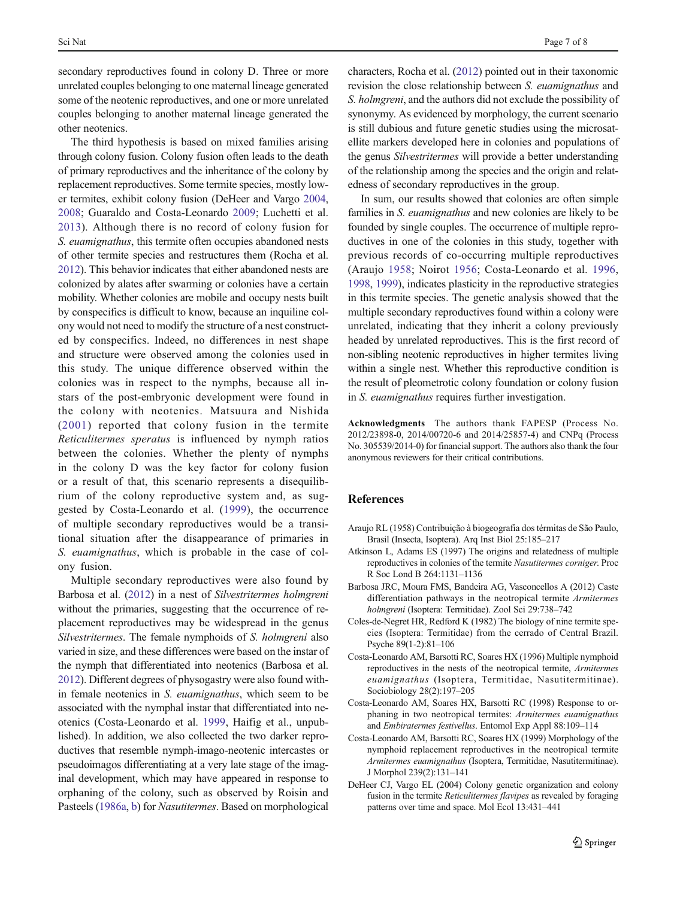<span id="page-6-0"></span>secondary reproductives found in colony D. Three or more unrelated couples belonging to one maternal lineage generated some of the neotenic reproductives, and one or more unrelated couples belonging to another maternal lineage generated the other neotenics.

The third hypothesis is based on mixed families arising through colony fusion. Colony fusion often leads to the death of primary reproductives and the inheritance of the colony by replacement reproductives. Some termite species, mostly lower termites, exhibit colony fusion (DeHeer and Vargo 2004, [2008](#page-7-0); Guaraldo and Costa-Leonardo [2009](#page-7-0); Luchetti et al. [2013\)](#page-7-0). Although there is no record of colony fusion for S. euamignathus, this termite often occupies abandoned nests of other termite species and restructures them (Rocha et al. [2012\)](#page-7-0). This behavior indicates that either abandoned nests are colonized by alates after swarming or colonies have a certain mobility. Whether colonies are mobile and occupy nests built by conspecifics is difficult to know, because an inquiline colony would not need to modify the structure of a nest constructed by conspecifics. Indeed, no differences in nest shape and structure were observed among the colonies used in this study. The unique difference observed within the colonies was in respect to the nymphs, because all instars of the post-embryonic development were found in the colony with neotenics. Matsuura and Nishida ([2001](#page-7-0)) reported that colony fusion in the termite Reticulitermes speratus is influenced by nymph ratios between the colonies. Whether the plenty of nymphs in the colony D was the key factor for colony fusion or a result of that, this scenario represents a disequilibrium of the colony reproductive system and, as suggested by Costa-Leonardo et al. (1999), the occurrence of multiple secondary reproductives would be a transitional situation after the disappearance of primaries in S. euamignathus, which is probable in the case of colony fusion.

Multiple secondary reproductives were also found by Barbosa et al. (2012) in a nest of Silvestritermes holmgreni without the primaries, suggesting that the occurrence of replacement reproductives may be widespread in the genus Silvestritermes. The female nymphoids of S. holmgreni also varied in size, and these differences were based on the instar of the nymph that differentiated into neotenics (Barbosa et al. 2012). Different degrees of physogastry were also found within female neotenics in S. euamignathus, which seem to be associated with the nymphal instar that differentiated into neotenics (Costa-Leonardo et al. 1999, Haifig et al., unpublished). In addition, we also collected the two darker reproductives that resemble nymph-imago-neotenic intercastes or pseudoimagos differentiating at a very late stage of the imaginal development, which may have appeared in response to orphaning of the colony, such as observed by Roisin and Pasteels [\(1986a](#page-7-0), [b\)](#page-7-0) for *Nasutitermes*. Based on morphological

characters, Rocha et al. ([2012](#page-7-0)) pointed out in their taxonomic revision the close relationship between S. euamignathus and S. holmgreni, and the authors did not exclude the possibility of synonymy. As evidenced by morphology, the current scenario is still dubious and future genetic studies using the microsatellite markers developed here in colonies and populations of the genus Silvestritermes will provide a better understanding of the relationship among the species and the origin and relatedness of secondary reproductives in the group.

In sum, our results showed that colonies are often simple families in S. *euamignathus* and new colonies are likely to be founded by single couples. The occurrence of multiple reproductives in one of the colonies in this study, together with previous records of co-occurring multiple reproductives (Araujo 1958; Noirot [1956;](#page-7-0) Costa-Leonardo et al. 1996, 1998, 1999), indicates plasticity in the reproductive strategies in this termite species. The genetic analysis showed that the multiple secondary reproductives found within a colony were unrelated, indicating that they inherit a colony previously headed by unrelated reproductives. This is the first record of non-sibling neotenic reproductives in higher termites living within a single nest. Whether this reproductive condition is the result of pleometrotic colony foundation or colony fusion in S. euamignathus requires further investigation.

Acknowledgments The authors thank FAPESP (Process No. 2012/23898-0, 2014/00720-6 and 2014/25857-4) and CNPq (Process No. 305539/2014-0) for financial support. The authors also thank the four anonymous reviewers for their critical contributions.

#### References

- Araujo RL (1958) Contribuição à biogeografia dos térmitas de São Paulo, Brasil (Insecta, Isoptera). Arq Inst Biol 25:185–217
- Atkinson L, Adams ES (1997) The origins and relatedness of multiple reproductives in colonies of the termite Nasutitermes corniger. Proc R Soc Lond B 264:1131–1136
- Barbosa JRC, Moura FMS, Bandeira AG, Vasconcellos A (2012) Caste differentiation pathways in the neotropical termite Armitermes holmgreni (Isoptera: Termitidae). Zool Sci 29:738–742
- Coles-de-Negret HR, Redford K (1982) The biology of nine termite species (Isoptera: Termitidae) from the cerrado of Central Brazil. Psyche 89(1-2):81–106
- Costa-Leonardo AM, Barsotti RC, Soares HX (1996) Multiple nymphoid reproductives in the nests of the neotropical termite, Armitermes euamignathus (Isoptera, Termitidae, Nasutitermitinae). Sociobiology 28(2):197–205
- Costa-Leonardo AM, Soares HX, Barsotti RC (1998) Response to orphaning in two neotropical termites: Armitermes euamignathus and Embiratermes festivellus. Entomol Exp Appl 88:109–114
- Costa-Leonardo AM, Barsotti RC, Soares HX (1999) Morphology of the nymphoid replacement reproductives in the neotropical termite Armitermes euamignathus (Isoptera, Termitidae, Nasutitermitinae). J Morphol 239(2):131–141
- DeHeer CJ, Vargo EL (2004) Colony genetic organization and colony fusion in the termite Reticulitermes flavipes as revealed by foraging patterns over time and space. Mol Ecol 13:431–441